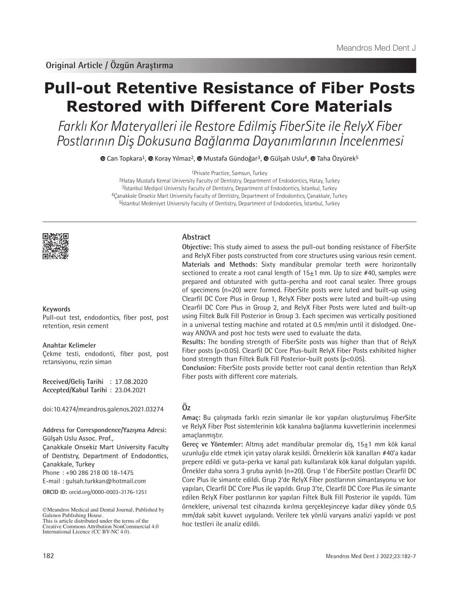# **Pull-out Retentive Resistance of Fiber Posts Restored with Different Core Materials**

Farklı Kor Materyalleri ile Restore Edilmiş FiberSite ile RelyX Fiber Postlarının Diş Dokusuna Bağlanma Dayanımlarının İncelenmesi

 $\bullet$ Can Topkara<sup>1</sup>,  $\bullet$  Koray Yılmaz<sup>2</sup>,  $\bullet$  Mustafa Gündoğar<sup>3</sup>,  $\bullet$  Gülşah Uslu<sup>4</sup>,  $\bullet$  Taha Özyürek<sup>5</sup>

1Private Practice, Samsun, Turkey

Hatay Mustafa Kemal University Faculty of Dentistry, Department of Endodontics, Hatay, Turkey İstanbul Medipol University Faculty of Dentistry, Department of Endodontics, İstanbul, Turkey Çanakkale Onsekiz Mart University Faculty of Dentistry, Department of Endodontics, Çanakkale, Turkey <sup>5</sup>İstanbul Medeniyet University Faculty of Dentistry, Department of Endodontics, İstanbul, Turkey



#### **Keywords**

Pull-out test, endodontics, fiber post, post retention, resin cement

#### **Anahtar Kelimeler**

Çekme testi, endodonti, fiber post, post retansiyonu, rezin siman

**Received/Geliş Tarihi** : 17.08.2020 **Accepted/Kabul Tarihi** : 23.04.2021

doi:10.4274/meandros.galenos.2021.03274

**Address for Correspondence/Yazışma Adresi:** Gülşah Uslu Assoc. Prof.,

Çanakkale Onsekiz Mart University Faculty of Dentistry, Department of Endodontics, Çanakkale, Turkey

Phone : +90 286 218 00 18-1475

E-mail : gulsah.turkkan@hotmail.com

**ORCID ID:** orcid.org/0000-0003-3176-1251

# **Abstract**

**Objective:** This study aimed to assess the pull-out bonding resistance of FiberSite and RelyX Fiber posts constructed from core structures using various resin cement. **Materials and Methods:** Sixty mandibular premolar teeth were horizontally sectioned to create a root canal length of 15±1 mm. Up to size #40, samples were prepared and obturated with gutta-percha and root canal sealer. Three groups of specimens (n=20) were formed. FiberSite posts were luted and built-up using Clearfil DC Core Plus in Group 1, RelyX Fiber posts were luted and built-up using Clearfil DC Core Plus in Group 2, and RelyX Fiber Posts were luted and built-up using Filtek Bulk Fill Posterior in Group 3. Each specimen was vertically positioned in a universal testing machine and rotated at 0.5 mm/min until it dislodged. Oneway ANOVA and post hoc tests were used to evaluate the data.

**Results:** The bonding strength of FiberSite posts was higher than that of RelyX Fiber posts (p<0.05). Clearfil DC Core Plus-built RelyX Fiber Posts exhibited higher bond strength than Filtek Bulk Fill Posterior-built posts (p<0.05).

**Conclusion:** FiberSite posts provide better root canal dentin retention than RelyX Fiber posts with different core materials.

# **Öz**

**Amaç:** Bu çalışmada farklı rezin simanlar ile kor yapıları oluşturulmuş FiberSite ve RelyX Fiber Post sistemlerinin kök kanalına bağlanma kuvvetlerinin incelenmesi amaçlanmıştır.

**Gereç ve Yöntemler:** Altmış adet mandibular premolar diş, 15±1 mm kök kanal uzunluğu elde etmek için yatay olarak kesildi. Örneklerin kök kanalları #40'a kadar prepere edildi ve guta-perka ve kanal patı kullanılarak kök kanal dolguları yapıldı. Örnekler daha sonra 3 gruba ayrıldı (n=20). Grup 1'de FiberSite postları Clearfil DC Core Plus ile simante edildi. Grup 2'de RelyX Fiber postlarının simantasyonu ve kor yapıları, Clearfil DC Core Plus ile yapıldı. Grup 3'te, Clearfil DC Core Plus ile simante edilen RelyX Fiber postlarının kor yapıları Filtek Bulk Fill Posterior ile yapıldı. Tüm örneklere, universal test cihazında kırılma gerçekleşinceye kadar dikey yönde 0,5 mm/dak sabit kuvvet uygulandı. Verilere tek yönlü varyans analizi yapıldı ve post hoc testleri ile analiz edildi.

<sup>©</sup>Meandros Medical and Dental Journal, Published by Galenos Publishing House. This is article distributed under the terms of the

Creative Commons Attribution NonCommercial 4.0 International Licence (CC BY-NC 4.0).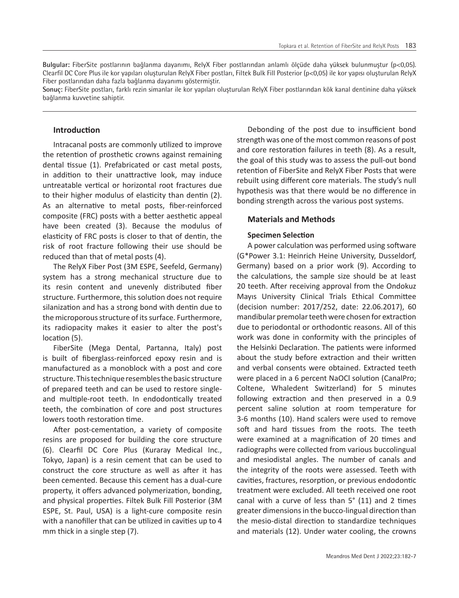**Bulgular:** FiberSite postlarının bağlanma dayanımı, RelyX Fiber postlarından anlamlı ölçüde daha yüksek bulunmuştur (p<0,05). Clearfil DC Core Plus ile kor yapıları oluşturulan RelyX Fiber postları, Filtek Bulk Fill Posterior (p<0,05) ile kor yapısı oluşturulan RelyX Fiber postlarından daha fazla bağlanma dayanımı göstermiştir.

**Sonuç:** FiberSite postları, farklı rezin simanlar ile kor yapıları oluşturulan RelyX Fiber postlarından kök kanal dentinine daha yüksek bağlanma kuvvetine sahiptir.

# **Introduction**

Intracanal posts are commonly utilized to improve the retention of prosthetic crowns against remaining dental tissue (1). Prefabricated or cast metal posts, in addition to their unattractive look, may induce untreatable vertical or horizontal root fractures due to their higher modulus of elasticity than dentin (2). As an alternative to metal posts, fiber-reinforced composite (FRC) posts with a better aesthetic appeal have been created (3). Because the modulus of elasticity of FRC posts is closer to that of dentin, the risk of root fracture following their use should be reduced than that of metal posts (4).

The RelyX Fiber Post (3M ESPE, Seefeld, Germany) system has a strong mechanical structure due to its resin content and unevenly distributed fiber structure. Furthermore, this solution does not require silanization and has a strong bond with dentin due to the microporous structure of its surface. Furthermore, its radiopacity makes it easier to alter the post's location (5).

FiberSite (Mega Dental, Partanna, Italy) post is built of fiberglass-reinforced epoxy resin and is manufactured as a monoblock with a post and core structure. This technique resembles the basic structure of prepared teeth and can be used to restore singleand multiple-root teeth. In endodontically treated teeth, the combination of core and post structures lowers tooth restoration time.

After post-cementation, a variety of composite resins are proposed for building the core structure (6). Clearfil DC Core Plus (Kuraray Medical Inc., Tokyo, Japan) is a resin cement that can be used to construct the core structure as well as after it has been cemented. Because this cement has a dual-cure property, it offers advanced polymerization, bonding, and physical properties. Filtek Bulk Fill Posterior (3M ESPE, St. Paul, USA) is a light-cure composite resin with a nanofiller that can be utilized in cavities up to 4 mm thick in a single step (7).

Debonding of the post due to insufficient bond strength was one of the most common reasons of post and core restoration failures in teeth (8). As a result, the goal of this study was to assess the pull-out bond retention of FiberSite and RelyX Fiber Posts that were rebuilt using different core materials. The study's null hypothesis was that there would be no difference in bonding strength across the various post systems.

# **Materials and Methods**

# **Specimen Selection**

A power calculation was performed using software (G\*Power 3.1: Heinrich Heine University, Dusseldorf, Germany) based on a prior work (9). According to the calculations, the sample size should be at least 20 teeth. After receiving approval from the Ondokuz Mayıs University Clinical Trials Ethical Committee (decision number: 2017/252, date: 22.06.2017), 60 mandibular premolar teeth were chosen for extraction due to periodontal or orthodontic reasons. All of this work was done in conformity with the principles of the Helsinki Declaration. The patients were informed about the study before extraction and their written and verbal consents were obtained. Extracted teeth were placed in a 6 percent NaOCl solution (CanalPro; Coltene, Whaledent Switzerland) for 5 minutes following extraction and then preserved in a 0.9 percent saline solution at room temperature for 3-6 months (10). Hand scalers were used to remove soft and hard tissues from the roots. The teeth were examined at a magnification of 20 times and radiographs were collected from various buccolingual and mesiodistal angles. The number of canals and the integrity of the roots were assessed. Teeth with cavities, fractures, resorption, or previous endodontic treatment were excluded. All teeth received one root canal with a curve of less than 5° (11) and 2 times greater dimensions in the bucco-lingual direction than the mesio-distal direction to standardize techniques and materials (12). Under water cooling, the crowns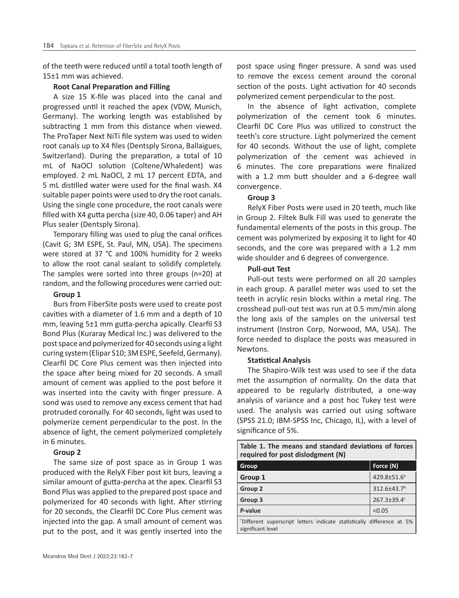of the teeth were reduced until a total tooth length of 15±1 mm was achieved.

#### **Root Canal Preparation and Filling**

A size 15 K-file was placed into the canal and progressed until it reached the apex (VDW, Munich, Germany). The working length was established by subtracting 1 mm from this distance when viewed. The ProTaper Next NiTi file system was used to widen root canals up to X4 files (Dentsply Sirona, Ballaigues, Switzerland). During the preparation, a total of 10 mL of NaOCl solution (Coltene/Whaledent) was employed. 2 mL NaOCl, 2 mL 17 percent EDTA, and 5 mL distilled water were used for the final wash. X4 suitable paper points were used to dry the root canals. Using the single cone procedure, the root canals were filled with X4 gutta percha (size 40, 0.06 taper) and AH Plus sealer (Dentsply Sirona).

Temporary filling was used to plug the canal orifices (Cavit G; 3M ESPE, St. Paul, MN, USA). The specimens were stored at 37 °C and 100% humidity for 2 weeks to allow the root canal sealant to solidify completely. The samples were sorted into three groups (n=20) at random, and the following procedures were carried out:

#### **Group 1**

Burs from FiberSite posts were used to create post cavities with a diameter of 1.6 mm and a depth of 10 mm, leaving 5±1 mm gutta-percha apically. Clearfil S3 Bond Plus (Kuraray Medical Inc.) was delivered to the post space and polymerized for 40 seconds using a light curing system (Elipar S10; 3M ESPE, Seefeld, Germany). Clearfil DC Core Plus cement was then injected into the space after being mixed for 20 seconds. A small amount of cement was applied to the post before it was inserted into the cavity with finger pressure. A sond was used to remove any excess cement that had protruded coronally. For 40 seconds, light was used to polymerize cement perpendicular to the post. In the absence of light, the cement polymerized completely in 6 minutes.

#### **Group 2**

The same size of post space as in Group 1 was produced with the RelyX Fiber post kit burs, leaving a similar amount of gutta-percha at the apex. Clearfil S3 Bond Plus was applied to the prepared post space and polymerized for 40 seconds with light. After stirring for 20 seconds, the Clearfil DC Core Plus cement was injected into the gap. A small amount of cement was put to the post, and it was gently inserted into the post space using finger pressure. A sond was used to remove the excess cement around the coronal section of the posts. Light activation for 40 seconds polymerized cement perpendicular to the post.

In the absence of light activation, complete polymerization of the cement took 6 minutes. Clearfil DC Core Plus was utilized to construct the teeth's core structure. Light polymerized the cement for 40 seconds. Without the use of light, complete polymerization of the cement was achieved in 6 minutes. The core preparations were finalized with a 1.2 mm butt shoulder and a 6-degree wall convergence.

#### **Group 3**

RelyX Fiber Posts were used in 20 teeth, much like in Group 2. Filtek Bulk Fill was used to generate the fundamental elements of the posts in this group. The cement was polymerized by exposing it to light for 40 seconds, and the core was prepared with a 1.2 mm wide shoulder and 6 degrees of convergence.

#### **Pull-out Test**

Pull-out tests were performed on all 20 samples in each group. A parallel meter was used to set the teeth in acrylic resin blocks within a metal ring. The crosshead pull-out test was run at 0.5 mm/min along the long axis of the samples on the universal test instrument (Instron Corp, Norwood, MA, USA). The force needed to displace the posts was measured in Newtons.

#### **Statistical Analysis**

The Shapiro-Wilk test was used to see if the data met the assumption of normality. On the data that appeared to be regularly distributed, a one-way analysis of variance and a post hoc Tukey test were used. The analysis was carried out using software (SPSS 21.0; IBM-SPSS Inc, Chicago, IL), with a level of significance of 5%.

|                                   |  |  |  |  | Table 1. The means and standard deviations of forces |  |  |  |
|-----------------------------------|--|--|--|--|------------------------------------------------------|--|--|--|
| required for post dislodgment (N) |  |  |  |  |                                                      |  |  |  |

| Group                                                                                       | Force (N)               |  |  |
|---------------------------------------------------------------------------------------------|-------------------------|--|--|
| Group 1                                                                                     | 429.8±51.6 <sup>a</sup> |  |  |
| Group 2                                                                                     | 312.6±43.7 <sup>b</sup> |  |  |
| Group 3                                                                                     | 267.3±39.4c             |  |  |
| P-value                                                                                     | < 0.05                  |  |  |
| *Different superscript letters indicate statistically difference at 5%<br>significant level |                         |  |  |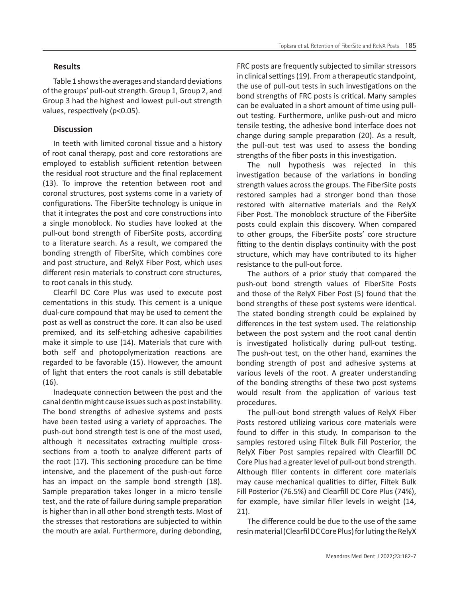#### **Results**

Table 1 shows the averages and standard deviations of the groups' pull-out strength. Group 1, Group 2, and Group 3 had the highest and lowest pull-out strength values, respectively (p<0.05).

#### **Discussion**

In teeth with limited coronal tissue and a history of root canal therapy, post and core restorations are employed to establish sufficient retention between the residual root structure and the final replacement (13). To improve the retention between root and coronal structures, post systems come in a variety of configurations. The FiberSite technology is unique in that it integrates the post and core constructions into a single monoblock. No studies have looked at the pull-out bond strength of FiberSite posts, according to a literature search. As a result, we compared the bonding strength of FiberSite, which combines core and post structure, and RelyX Fiber Post, which uses different resin materials to construct core structures, to root canals in this study.

Clearfil DC Core Plus was used to execute post cementations in this study. This cement is a unique dual-cure compound that may be used to cement the post as well as construct the core. It can also be used premixed, and its self-etching adhesive capabilities make it simple to use (14). Materials that cure with both self and photopolymerization reactions are regarded to be favorable (15). However, the amount of light that enters the root canals is still debatable (16).

Inadequate connection between the post and the canal dentin might cause issues such as post instability. The bond strengths of adhesive systems and posts have been tested using a variety of approaches. The push-out bond strength test is one of the most used, although it necessitates extracting multiple crosssections from a tooth to analyze different parts of the root (17). This sectioning procedure can be time intensive, and the placement of the push-out force has an impact on the sample bond strength (18). Sample preparation takes longer in a micro tensile test, and the rate of failure during sample preparation is higher than in all other bond strength tests. Most of the stresses that restorations are subjected to within the mouth are axial. Furthermore, during debonding,

FRC posts are frequently subjected to similar stressors in clinical settings (19). From a therapeutic standpoint, the use of pull-out tests in such investigations on the bond strengths of FRC posts is critical. Many samples can be evaluated in a short amount of time using pullout testing. Furthermore, unlike push-out and micro tensile testing, the adhesive bond interface does not change during sample preparation (20). As a result, the pull-out test was used to assess the bonding strengths of the fiber posts in this investigation.

The null hypothesis was rejected in this investigation because of the variations in bonding strength values across the groups. The FiberSite posts restored samples had a stronger bond than those restored with alternative materials and the RelyX Fiber Post. The monoblock structure of the FiberSite posts could explain this discovery. When compared to other groups, the FiberSite posts' core structure fitting to the dentin displays continuity with the post structure, which may have contributed to its higher resistance to the pull-out force.

The authors of a prior study that compared the push-out bond strength values of FiberSite Posts and those of the RelyX Fiber Post (5) found that the bond strengths of these post systems were identical. The stated bonding strength could be explained by differences in the test system used. The relationship between the post system and the root canal dentin is investigated holistically during pull-out testing. The push-out test, on the other hand, examines the bonding strength of post and adhesive systems at various levels of the root. A greater understanding of the bonding strengths of these two post systems would result from the application of various test procedures.

The pull-out bond strength values of RelyX Fiber Posts restored utilizing various core materials were found to differ in this study. In comparison to the samples restored using Filtek Bulk Fill Posterior, the RelyX Fiber Post samples repaired with Clearfill DC Core Plus had a greater level of pull-out bond strength. Although filler contents in different core materials may cause mechanical qualities to differ, Filtek Bulk Fill Posterior (76.5%) and Clearfill DC Core Plus (74%), for example, have similar filler levels in weight (14, 21).

The difference could be due to the use of the same resin material (Clearfil DC Core Plus) for luting the RelyX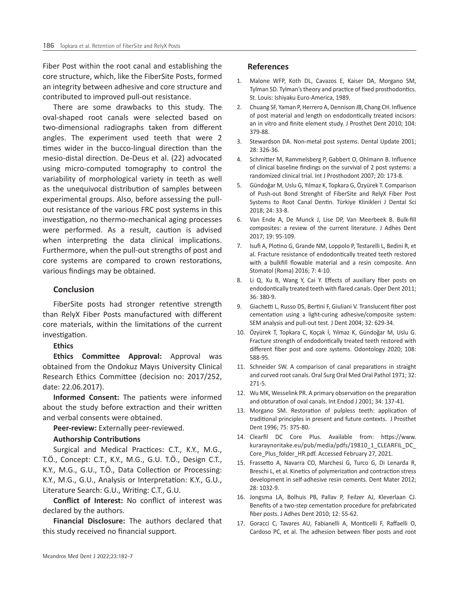Fiber Post within the root canal and establishing the core structure, which, like the FiberSite Posts, formed an integrity between adhesive and core structure and contributed to improved pull-out resistance.

There are some drawbacks to this study. The oval-shaped root canals were selected based on two-dimensional radiographs taken from different angles. The experiment used teeth that were 2 times wider in the bucco-lingual direction than the mesio-distal direction. De-Deus et al. (22) advocated using micro-computed tomography to control the variability of morphological variety in teeth as well as the unequivocal distribution of samples between experimental groups. Also, before assessing the pullout resistance of the various FRC post systems in this investigation, no thermo-mechanical aging processes were performed. As a result, caution is advised when interpreting the data clinical implications. Furthermore, when the pull-out strengths of post and core systems are compared to crown restorations, various findings may be obtained.

#### **Conclusion**

FiberSite posts had stronger retentive strength than RelyX Fiber Posts manufactured with different core materials, within the limitations of the current investigation.

#### **Ethics**

**Ethics Committee Approval:** Approval was obtained from the Ondokuz Mayıs University Clinical Research Ethics Committee (decision no: 2017/252, date: 22.06.2017).

**Informed Consent:** The patients were informed about the study before extraction and their written and verbal consents were obtained.

**Peer-review:** Externally peer-reviewed.

#### **Authorship Contributions**

Surgical and Medical Practices: C.T., K.Y., M.G., T.Ö., Concept: C.T., K.Y., M.G., G.U. T.Ö., Design C.T., K.Y., M.G., G.U., T.Ö., Data Collection or Processing: K.Y., M.G., G.U., Analysis or Interpretation: K.Y., G.U., Literature Search: G.U., Writing: C.T., G.U.

**Conflict of Interest:** No conflict of interest was declared by the authors.

**Financial Disclosure:** The authors declared that this study received no financial support.

#### **References**

- 1. Malone WFP, Koth DL, Cavazos E, Kaiser DA, Morgano SM, Tylman SD. Tylman's theory and practice of fixed prosthodontics. St. Louis: Ishiyaku Euro-America, 1989.
- 2. Chuang SF, Yaman P, Herrero A, Dennison JB, Chang CH. Influence of post material and length on endodontically treated incisors: an in vitro and finite element study. J Prosthet Dent 2010; 104: 379-88.
- 3. Stewardson DA. Non-metal post systems. Dental Update 2001; 28: 326-36.
- 4. Schmitter M, Rammelsberg P, Gabbert O, Ohlmann B. Influence of clinical baseline findings on the survival of 2 post systems: a randomized clinical trial. Int J Prosthodont 2007; 20: 173-8.
- 5. Gündoğar M, Uslu G, Yılmaz K, Topkara G, Özyürek T. Comparison of Push-out Bond Strenght of FiberSite and RelyX Fiber Post Systems to Root Canal Dentin. Türkiye Klinikleri J Dental Sci 2018; 24: 33-8.
- 6. Van Ende A, De Munck J, Lise DP, Van Meerbeek B. Bulk-fill composites: a review of the current literature. J Adhes Dent 2017; 19: 95-109.
- 7. Isufi A, Plotino G, Grande NM, Loppolo P, Testarelli L, Bedini R, et al. Fracture resistance of endodontically treated teeth restored with a bulkfill flowable material and a resin composite. Ann Stomatol (Roma) 2016; 7: 4-10.
- 8. Li Q, Xu B, Wang Y, Cai Y. Effects of auxiliary fiber posts on endodontically treated teeth with flared canals. Oper Dent 2011; 36: 380-9.
- 9. Giachetti L, Russo DS, Bertini F, Giuliani V. Translucent fiber post cementation using a light-curing adhesive/composite system: SEM analysis and pull-out test. J Dent 2004; 32: 629-34.
- 10. Özyürek T, Topkara C, Koçak İ, Yılmaz K, Gündoğar M, Uslu G. Fracture strength of endodontically treated teeth restored with different fiber post and core systems. Odontology 2020; 108: 588-95.
- 11. Schneider SW. A comparison of canal preparations in straight and curved root canals. Oral Surg Oral Med Oral Pathol 1971; 32: 271-5.
- 12. Wu MK, Wesselink PR. A primary observation on the preparation and obturation of oval canals. Int Endod J 2001; 34: 137-41.
- 13. Morgano SM. Restoration of pulpless teeth: application of traditional principles in present and future contexts. J Prosthet Dent 1996; 75: 375-80.
- 14. Clearfil DC Core Plus. Available from: https://www. kuraraynoritake.eu/pub/media/pdfs/19810\_1\_CLEARFIL\_DC\_ Core\_Plus\_folder\_HR.pdf. Accessed February 27, 2021.
- 15. Frassetto A, Navarra CO, Marchesi G, Turco G, Di Lenarda R, Breschi L, et al. Kinetics of polymerization and contraction stress development in self-adhesive resin cements. Dent Mater 2012; 28: 1032-9.
- 16. Jongsma LA, Bolhuis PB, Pallav P, Feilzer AJ, Kleverlaan CJ. Benefits of a two-step cementation procedure for prefabricated fiber posts. J Adhes Dent 2010; 12: 55-62.
- 17. Goracci C, Tavares AU, Fabianelli A, Monticelli F, Raffaelli O, Cardoso PC, et al. The adhesion between fiber posts and root